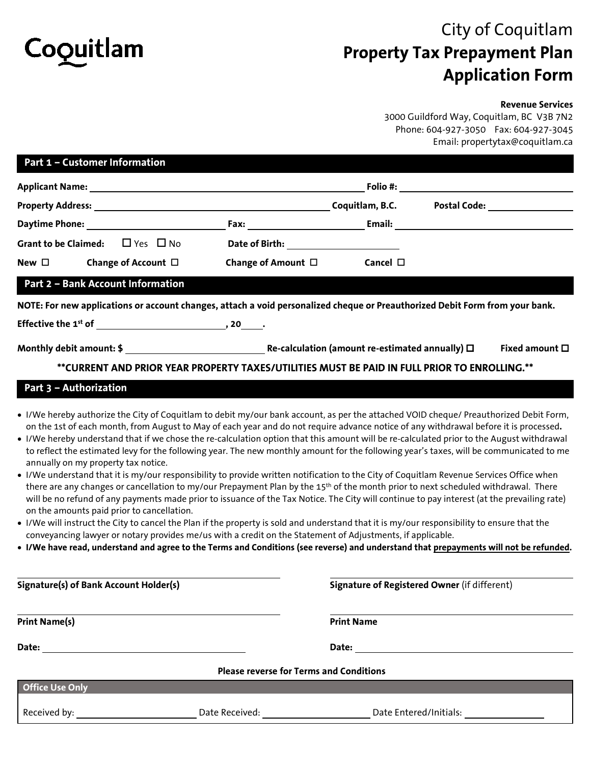# Coquitlam

## City of Coquitlam **Property Tax Prepayment Plan Application Form**

#### **Revenue Services**

3000 Guildford Way, Coquitlam, BC V3B 7N2 Phone: 604-927-3050 Fax: 604-927-3045 Email: propertytax@coquitlam.ca

| Part 1 - Customer Information                                                                                                                                                                                                                                                                                                                                                                                                                                                                                                                                                                                                                                                                                                                                                                                                                                                                                                                                                                                                                                                                                                                                                                                                 |                                                                                                                                                                                                                                     |
|-------------------------------------------------------------------------------------------------------------------------------------------------------------------------------------------------------------------------------------------------------------------------------------------------------------------------------------------------------------------------------------------------------------------------------------------------------------------------------------------------------------------------------------------------------------------------------------------------------------------------------------------------------------------------------------------------------------------------------------------------------------------------------------------------------------------------------------------------------------------------------------------------------------------------------------------------------------------------------------------------------------------------------------------------------------------------------------------------------------------------------------------------------------------------------------------------------------------------------|-------------------------------------------------------------------------------------------------------------------------------------------------------------------------------------------------------------------------------------|
|                                                                                                                                                                                                                                                                                                                                                                                                                                                                                                                                                                                                                                                                                                                                                                                                                                                                                                                                                                                                                                                                                                                                                                                                                               | Folio #: the state of the state of the state of the state of the state of the state of the state of the state of the state of the state of the state of the state of the state of the state of the state of the state of the s      |
| Property Address: Coquitlam, B.C.                                                                                                                                                                                                                                                                                                                                                                                                                                                                                                                                                                                                                                                                                                                                                                                                                                                                                                                                                                                                                                                                                                                                                                                             | <b>Postal Code: Postal Code:</b>                                                                                                                                                                                                    |
|                                                                                                                                                                                                                                                                                                                                                                                                                                                                                                                                                                                                                                                                                                                                                                                                                                                                                                                                                                                                                                                                                                                                                                                                                               | <b>Email:</b> Email: The Company of the Company of the Company of the Company of the Company of the Company of the Company of the Company of the Company of the Company of the Company of the Company of the Company of the Company |
| $\Box$ Yes $\Box$ No<br><b>Grant to be Claimed:</b>                                                                                                                                                                                                                                                                                                                                                                                                                                                                                                                                                                                                                                                                                                                                                                                                                                                                                                                                                                                                                                                                                                                                                                           | Date of Birth: National Assembly Pate of Birth:                                                                                                                                                                                     |
| Change of Account $\Box$<br>New $\Box$                                                                                                                                                                                                                                                                                                                                                                                                                                                                                                                                                                                                                                                                                                                                                                                                                                                                                                                                                                                                                                                                                                                                                                                        | Change of Amount $\Box$<br>Cancel $\Box$                                                                                                                                                                                            |
| <b>Part 2 - Bank Account Information</b>                                                                                                                                                                                                                                                                                                                                                                                                                                                                                                                                                                                                                                                                                                                                                                                                                                                                                                                                                                                                                                                                                                                                                                                      |                                                                                                                                                                                                                                     |
|                                                                                                                                                                                                                                                                                                                                                                                                                                                                                                                                                                                                                                                                                                                                                                                                                                                                                                                                                                                                                                                                                                                                                                                                                               | NOTE: For new applications or account changes, attach a void personalized cheque or Preauthorized Debit Form from your bank.                                                                                                        |
|                                                                                                                                                                                                                                                                                                                                                                                                                                                                                                                                                                                                                                                                                                                                                                                                                                                                                                                                                                                                                                                                                                                                                                                                                               |                                                                                                                                                                                                                                     |
|                                                                                                                                                                                                                                                                                                                                                                                                                                                                                                                                                                                                                                                                                                                                                                                                                                                                                                                                                                                                                                                                                                                                                                                                                               | Monthly debit amount: $\oint$ $\frac{1}{2}$ $\frac{1}{2}$ Re-calculation (amount re-estimated annually) $\Box$<br>Fixed amount $\square$                                                                                            |
| ** CURRENT AND PRIOR YEAR PROPERTY TAXES/UTILITIES MUST BE PAID IN FULL PRIOR TO ENROLLING. **                                                                                                                                                                                                                                                                                                                                                                                                                                                                                                                                                                                                                                                                                                                                                                                                                                                                                                                                                                                                                                                                                                                                |                                                                                                                                                                                                                                     |
| Part 3 - Authorization                                                                                                                                                                                                                                                                                                                                                                                                                                                                                                                                                                                                                                                                                                                                                                                                                                                                                                                                                                                                                                                                                                                                                                                                        |                                                                                                                                                                                                                                     |
| • I/We hereby understand that if we chose the re-calculation option that this amount will be re-calculated prior to the August withdrawal<br>to reflect the estimated levy for the following year. The new monthly amount for the following year's taxes, will be communicated to me<br>annually on my property tax notice.<br>. I/We understand that it is my/our responsibility to provide written notification to the City of Coquitlam Revenue Services Office when<br>there are any changes or cancellation to my/our Prepayment Plan by the 15 <sup>th</sup> of the month prior to next scheduled withdrawal. There<br>will be no refund of any payments made prior to issuance of the Tax Notice. The City will continue to pay interest (at the prevailing rate)<br>on the amounts paid prior to cancellation.<br>. I/We will instruct the City to cancel the Plan if the property is sold and understand that it is my/our responsibility to ensure that the<br>conveyancing lawyer or notary provides me/us with a credit on the Statement of Adjustments, if applicable.<br>. I/We have read, understand and agree to the Terms and Conditions (see reverse) and understand that prepayments will not be refunded. |                                                                                                                                                                                                                                     |
| Signature(s) of Bank Account Holder(s)                                                                                                                                                                                                                                                                                                                                                                                                                                                                                                                                                                                                                                                                                                                                                                                                                                                                                                                                                                                                                                                                                                                                                                                        | <b>Signature of Registered Owner (if different)</b>                                                                                                                                                                                 |
| <b>Print Name(s)</b>                                                                                                                                                                                                                                                                                                                                                                                                                                                                                                                                                                                                                                                                                                                                                                                                                                                                                                                                                                                                                                                                                                                                                                                                          | <b>Print Name</b>                                                                                                                                                                                                                   |
|                                                                                                                                                                                                                                                                                                                                                                                                                                                                                                                                                                                                                                                                                                                                                                                                                                                                                                                                                                                                                                                                                                                                                                                                                               |                                                                                                                                                                                                                                     |
| <b>Please reverse for Terms and Conditions</b>                                                                                                                                                                                                                                                                                                                                                                                                                                                                                                                                                                                                                                                                                                                                                                                                                                                                                                                                                                                                                                                                                                                                                                                |                                                                                                                                                                                                                                     |
| <b>Office Use Only</b>                                                                                                                                                                                                                                                                                                                                                                                                                                                                                                                                                                                                                                                                                                                                                                                                                                                                                                                                                                                                                                                                                                                                                                                                        |                                                                                                                                                                                                                                     |
| Received by: Note and the set of the set of the set of the set of the set of the set of the set of the set of the set of the set of the set of the set of the set of the set of the set of the set of the set of the set of th                                                                                                                                                                                                                                                                                                                                                                                                                                                                                                                                                                                                                                                                                                                                                                                                                                                                                                                                                                                                | Date Entered/Initials:                                                                                                                                                                                                              |